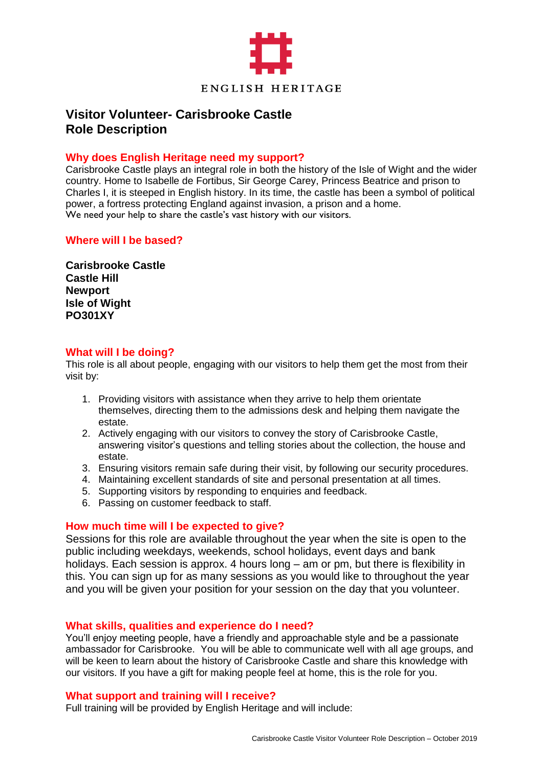

# **Visitor Volunteer- Carisbrooke Castle Role Description**

## **Why does English Heritage need my support?**

Carisbrooke Castle plays an integral role in both the history of the Isle of Wight and the wider country. Home to Isabelle de Fortibus, Sir George Carey, Princess Beatrice and prison to Charles I, it is steeped in English history. In its time, the castle has been a symbol of political power, a fortress protecting England against invasion, a prison and a home. We need your help to share the castle's vast history with our visitors.

## **Where will I be based?**

**Carisbrooke Castle Castle Hill Newport Isle of Wight PO301XY**

#### **What will I be doing?**

This role is all about people, engaging with our visitors to help them get the most from their visit by:

- 1. Providing visitors with assistance when they arrive to help them orientate themselves, directing them to the admissions desk and helping them navigate the estate.
- 2. Actively engaging with our visitors to convey the story of Carisbrooke Castle, answering visitor's questions and telling stories about the collection, the house and estate.
- 3. Ensuring visitors remain safe during their visit, by following our security procedures.
- 4. Maintaining excellent standards of site and personal presentation at all times.
- 5. Supporting visitors by responding to enquiries and feedback.
- 6. Passing on customer feedback to staff.

# **How much time will I be expected to give?**

Sessions for this role are available throughout the year when the site is open to the public including weekdays, weekends, school holidays, event days and bank holidays. Each session is approx. 4 hours long – am or pm, but there is flexibility in this. You can sign up for as many sessions as you would like to throughout the year and you will be given your position for your session on the day that you volunteer.

#### **What skills, qualities and experience do I need?**

You'll enjoy meeting people, have a friendly and approachable style and be a passionate ambassador for Carisbrooke. You will be able to communicate well with all age groups, and will be keen to learn about the history of Carisbrooke Castle and share this knowledge with our visitors. If you have a gift for making people feel at home, this is the role for you.

#### **What support and training will I receive?**

Full training will be provided by English Heritage and will include: